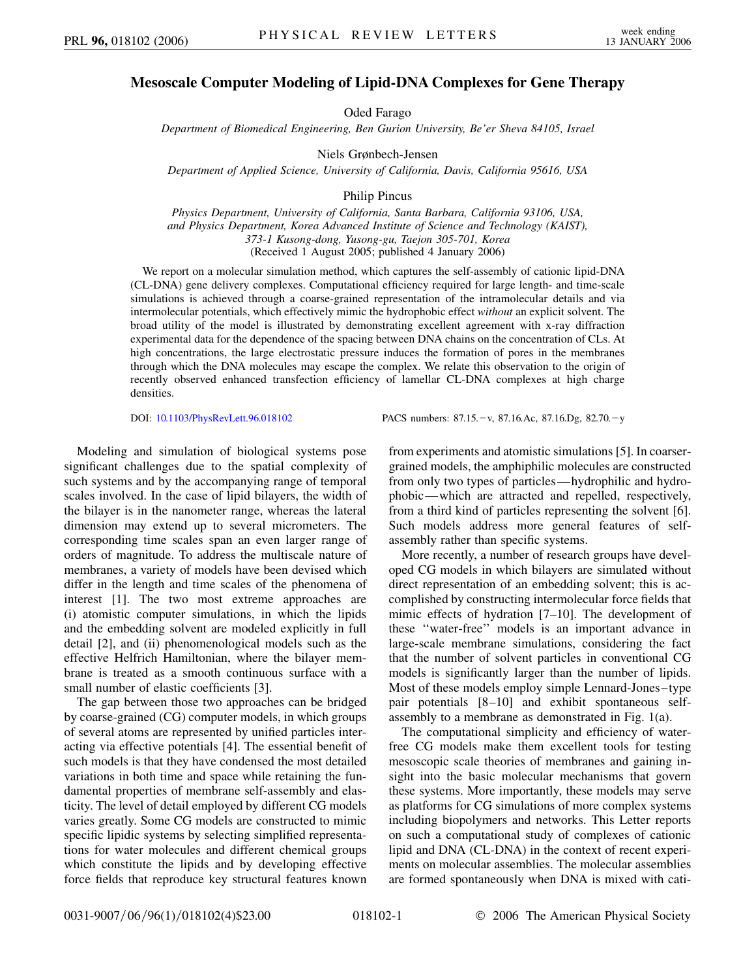## **Mesoscale Computer Modeling of Lipid-DNA Complexes for Gene Therapy**

Oded Farago

*Department of Biomedical Engineering, Ben Gurion University, Be'er Sheva 84105, Israel*

Niels Grønbech-Jensen

*Department of Applied Science, University of California, Davis, California 95616, USA*

Philip Pincus

*Physics Department, University of California, Santa Barbara, California 93106, USA, and Physics Department, Korea Advanced Institute of Science and Technology (KAIST), 373-1 Kusong-dong, Yusong-gu, Taejon 305-701, Korea* (Received 1 August 2005; published 4 January 2006)

We report on a molecular simulation method, which captures the self-assembly of cationic lipid-DNA (CL-DNA) gene delivery complexes. Computational efficiency required for large length- and time-scale simulations is achieved through a coarse-grained representation of the intramolecular details and via intermolecular potentials, which effectively mimic the hydrophobic effect *without* an explicit solvent. The broad utility of the model is illustrated by demonstrating excellent agreement with x-ray diffraction experimental data for the dependence of the spacing between DNA chains on the concentration of CLs. At high concentrations, the large electrostatic pressure induces the formation of pores in the membranes through which the DNA molecules may escape the complex. We relate this observation to the origin of recently observed enhanced transfection efficiency of lamellar CL-DNA complexes at high charge densities.

DOI: [10.1103/PhysRevLett.96.018102](http://dx.doi.org/10.1103/PhysRevLett.96.018102) PACS numbers: 87.15.-v, 87.16.Ac, 87.16.Dg, 82.70.-y

Modeling and simulation of biological systems pose significant challenges due to the spatial complexity of such systems and by the accompanying range of temporal scales involved. In the case of lipid bilayers, the width of the bilayer is in the nanometer range, whereas the lateral dimension may extend up to several micrometers. The corresponding time scales span an even larger range of orders of magnitude. To address the multiscale nature of membranes, a variety of models have been devised which differ in the length and time scales of the phenomena of interest [1]. The two most extreme approaches are (i) atomistic computer simulations, in which the lipids and the embedding solvent are modeled explicitly in full detail [2], and (ii) phenomenological models such as the effective Helfrich Hamiltonian, where the bilayer membrane is treated as a smooth continuous surface with a small number of elastic coefficients [3].

The gap between those two approaches can be bridged by coarse-grained (CG) computer models, in which groups of several atoms are represented by unified particles interacting via effective potentials [4]. The essential benefit of such models is that they have condensed the most detailed variations in both time and space while retaining the fundamental properties of membrane self-assembly and elasticity. The level of detail employed by different CG models varies greatly. Some CG models are constructed to mimic specific lipidic systems by selecting simplified representations for water molecules and different chemical groups which constitute the lipids and by developing effective force fields that reproduce key structural features known

from experiments and atomistic simulations [5]. In coarsergrained models, the amphiphilic molecules are constructed from only two types of particles—hydrophilic and hydrophobic—which are attracted and repelled, respectively, from a third kind of particles representing the solvent [6]. Such models address more general features of selfassembly rather than specific systems.

More recently, a number of research groups have developed CG models in which bilayers are simulated without direct representation of an embedding solvent; this is accomplished by constructing intermolecular force fields that mimic effects of hydration [7–10]. The development of these ''water-free'' models is an important advance in large-scale membrane simulations, considering the fact that the number of solvent particles in conventional CG models is significantly larger than the number of lipids. Most of these models employ simple Lennard-Jones–type pair potentials [8–10] and exhibit spontaneous selfassembly to a membrane as demonstrated in Fig. 1(a).

The computational simplicity and efficiency of waterfree CG models make them excellent tools for testing mesoscopic scale theories of membranes and gaining insight into the basic molecular mechanisms that govern these systems. More importantly, these models may serve as platforms for CG simulations of more complex systems including biopolymers and networks. This Letter reports on such a computational study of complexes of cationic lipid and DNA (CL-DNA) in the context of recent experiments on molecular assemblies. The molecular assemblies are formed spontaneously when DNA is mixed with cati-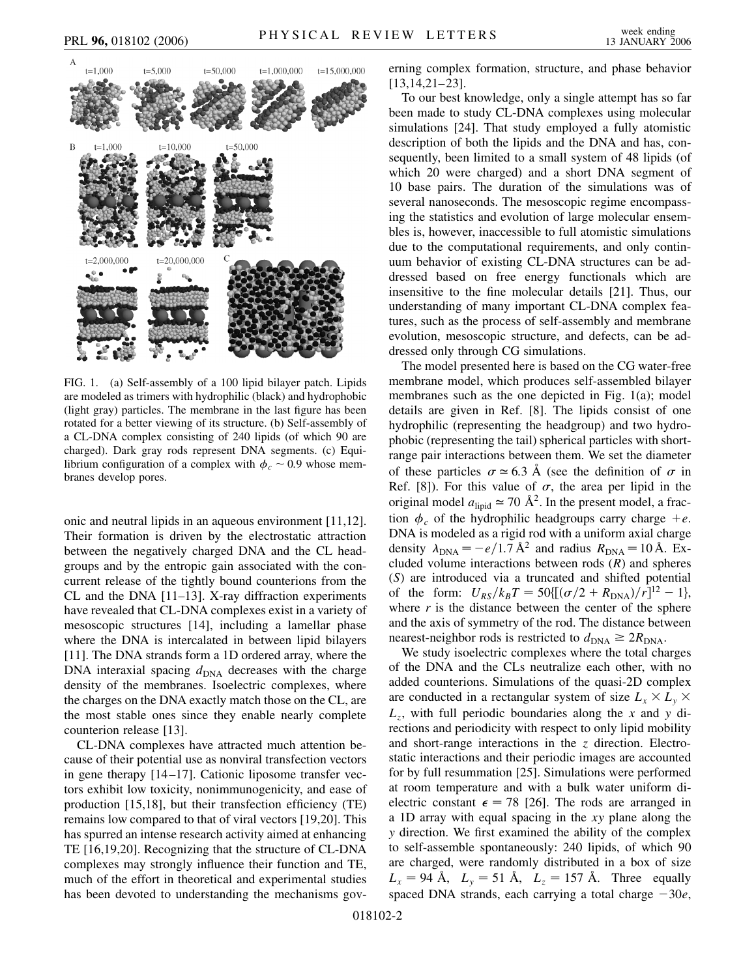



FIG. 1. (a) Self-assembly of a 100 lipid bilayer patch. Lipids are modeled as trimers with hydrophilic (black) and hydrophobic (light gray) particles. The membrane in the last figure has been rotated for a better viewing of its structure. (b) Self-assembly of a CL-DNA complex consisting of 240 lipids (of which 90 are charged). Dark gray rods represent DNA segments. (c) Equilibrium configuration of a complex with  $\phi_c \sim 0.9$  whose membranes develop pores.

onic and neutral lipids in an aqueous environment [11,12]. Their formation is driven by the electrostatic attraction between the negatively charged DNA and the CL headgroups and by the entropic gain associated with the concurrent release of the tightly bound counterions from the CL and the DNA [11–13]. X-ray diffraction experiments have revealed that CL-DNA complexes exist in a variety of mesoscopic structures [14], including a lamellar phase where the DNA is intercalated in between lipid bilayers [11]. The DNA strands form a 1D ordered array, where the DNA interaxial spacing  $d_{\text{DNA}}$  decreases with the charge density of the membranes. Isoelectric complexes, where the charges on the DNA exactly match those on the CL, are the most stable ones since they enable nearly complete counterion release [13].

CL-DNA complexes have attracted much attention because of their potential use as nonviral transfection vectors in gene therapy [14–17]. Cationic liposome transfer vectors exhibit low toxicity, nonimmunogenicity, and ease of production [15,18], but their transfection efficiency (TE) remains low compared to that of viral vectors [19,20]. This has spurred an intense research activity aimed at enhancing TE [16,19,20]. Recognizing that the structure of CL-DNA complexes may strongly influence their function and TE, much of the effort in theoretical and experimental studies has been devoted to understanding the mechanisms governing complex formation, structure, and phase behavior [13,14,21–23].

To our best knowledge, only a single attempt has so far been made to study CL-DNA complexes using molecular simulations [24]. That study employed a fully atomistic description of both the lipids and the DNA and has, consequently, been limited to a small system of 48 lipids (of which 20 were charged) and a short DNA segment of 10 base pairs. The duration of the simulations was of several nanoseconds. The mesoscopic regime encompassing the statistics and evolution of large molecular ensembles is, however, inaccessible to full atomistic simulations due to the computational requirements, and only continuum behavior of existing CL-DNA structures can be addressed based on free energy functionals which are insensitive to the fine molecular details [21]. Thus, our understanding of many important CL-DNA complex features, such as the process of self-assembly and membrane evolution, mesoscopic structure, and defects, can be addressed only through CG simulations.

The model presented here is based on the CG water-free membrane model, which produces self-assembled bilayer membranes such as the one depicted in Fig. 1(a); model details are given in Ref. [8]. The lipids consist of one hydrophilic (representing the headgroup) and two hydrophobic (representing the tail) spherical particles with shortrange pair interactions between them. We set the diameter of these particles  $\sigma \approx 6.3$  Å (see the definition of  $\sigma$  in Ref. [8]). For this value of  $\sigma$ , the area per lipid in the original model  $a_{\text{linid}} \approx 70 \text{ Å}^2$ . In the present model, a fraction  $\phi_c$  of the hydrophilic headgroups carry charge  $+e$ . DNA is modeled as a rigid rod with a uniform axial charge density  $\lambda_{\text{DNA}} = -e/1.7 \text{ Å}^2$  and radius  $R_{\text{DNA}} = 10 \text{ Å}$ . Excluded volume interactions between rods (*R*) and spheres (*S*) are introduced via a truncated and shifted potential of the form:  $U_{RS}/k_B T = 50 \{[(\sigma/2 + R_{DNA})/r]^{12} - 1\},\$ where  $r$  is the distance between the center of the sphere and the axis of symmetry of the rod. The distance between nearest-neighbor rods is restricted to  $d_{\text{DNA}} \geq 2R_{\text{DNA}}$ .

We study isoelectric complexes where the total charges of the DNA and the CLs neutralize each other, with no added counterions. Simulations of the quasi-2D complex are conducted in a rectangular system of size  $L_x \times L_y \times$ *Lz*, with full periodic boundaries along the *x* and *y* directions and periodicity with respect to only lipid mobility and short-range interactions in the *z* direction. Electrostatic interactions and their periodic images are accounted for by full resummation [25]. Simulations were performed at room temperature and with a bulk water uniform dielectric constant  $\epsilon = 78$  [26]. The rods are arranged in a 1D array with equal spacing in the *xy* plane along the *y* direction. We first examined the ability of the complex to self-assemble spontaneously: 240 lipids, of which 90 are charged, were randomly distributed in a box of size  $L_x = 94 \text{ Å}, L_y = 51 \text{ Å}, L_z = 157 \text{ Å}.$  Three equally spaced DNA strands, each carrying a total charge  $-30e$ ,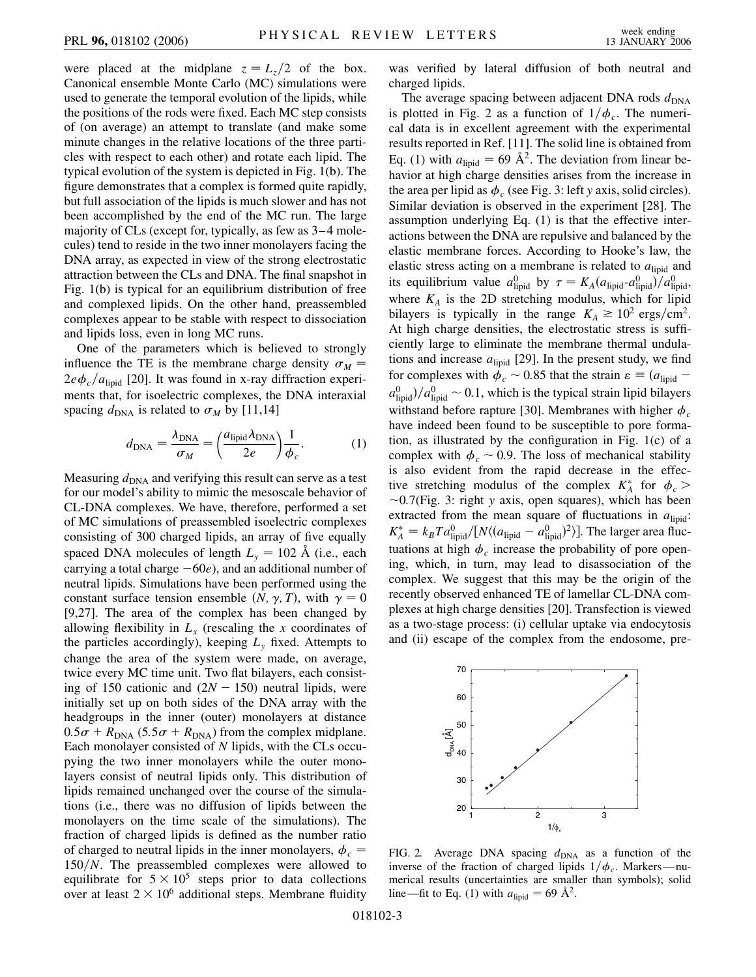were placed at the midplane  $z = L_z/2$  of the box. Canonical ensemble Monte Carlo (MC) simulations were used to generate the temporal evolution of the lipids, while the positions of the rods were fixed. Each MC step consists of (on average) an attempt to translate (and make some minute changes in the relative locations of the three particles with respect to each other) and rotate each lipid. The typical evolution of the system is depicted in Fig. 1(b). The figure demonstrates that a complex is formed quite rapidly, but full association of the lipids is much slower and has not been accomplished by the end of the MC run. The large majority of CLs (except for, typically, as few as 3–4 molecules) tend to reside in the two inner monolayers facing the DNA array, as expected in view of the strong electrostatic attraction between the CLs and DNA. The final snapshot in Fig. 1(b) is typical for an equilibrium distribution of free and complexed lipids. On the other hand, preassembled complexes appear to be stable with respect to dissociation and lipids loss, even in long MC runs.

One of the parameters which is believed to strongly influence the TE is the membrane charge density  $\sigma_M$  =  $2e\phi_c/a_{\text{lipid}}$  [20]. It was found in x-ray diffraction experiments that, for isoelectric complexes, the DNA interaxial spacing  $d_{\text{DNA}}$  is related to  $\sigma_M$  by [11,14]

$$
d_{\text{DNA}} = \frac{\lambda_{\text{DNA}}}{\sigma_M} = \left(\frac{a_{\text{lipid}}\lambda_{\text{DNA}}}{2e}\right)\frac{1}{\phi_c}.\tag{1}
$$

Measuring  $d_{\text{DNA}}$  and verifying this result can serve as a test for our model's ability to mimic the mesoscale behavior of CL-DNA complexes. We have, therefore, performed a set of MC simulations of preassembled isoelectric complexes consisting of 300 charged lipids, an array of five equally spaced DNA molecules of length  $L<sub>v</sub> = 102$  Å (i.e., each carrying a total charge  $-60e$ , and an additional number of neutral lipids. Simulations have been performed using the constant surface tension ensemble  $(N, \gamma, T)$ , with  $\gamma = 0$ [9,27]. The area of the complex has been changed by allowing flexibility in  $L<sub>x</sub>$  (rescaling the x coordinates of the particles accordingly), keeping  $L<sub>y</sub>$  fixed. Attempts to change the area of the system were made, on average, twice every MC time unit. Two flat bilayers, each consisting of 150 cationic and  $(2N - 150)$  neutral lipids, were initially set up on both sides of the DNA array with the headgroups in the inner (outer) monolayers at distance  $0.5\sigma + R_{\text{DNA}}$  (5.5 $\sigma + R_{\text{DNA}}$ ) from the complex midplane. Each monolayer consisted of *N* lipids, with the CLs occupying the two inner monolayers while the outer monolayers consist of neutral lipids only. This distribution of lipids remained unchanged over the course of the simulations (i.e., there was no diffusion of lipids between the monolayers on the time scale of the simulations). The fraction of charged lipids is defined as the number ratio of charged to neutral lipids in the inner monolayers,  $\phi_c$  = 150/N. The preassembled complexes were allowed to equilibrate for  $5 \times 10^5$  steps prior to data collections over at least  $2 \times 10^6$  additional steps. Membrane fluidity was verified by lateral diffusion of both neutral and charged lipids.

The average spacing between adjacent DNA rods  $d_{\text{DNA}}$ is plotted in Fig. 2 as a function of  $1/\phi_c$ . The numerical data is in excellent agreement with the experimental results reported in Ref. [11]. The solid line is obtained from Eq. (1) with  $a_{\text{lipid}} = 69 \text{ Å}^2$ . The deviation from linear behavior at high charge densities arises from the increase in the area per lipid as  $\phi_c$  (see Fig. 3: left *y* axis, solid circles). Similar deviation is observed in the experiment [28]. The assumption underlying Eq. (1) is that the effective interactions between the DNA are repulsive and balanced by the elastic membrane forces. According to Hooke's law, the elastic stress acting on a membrane is related to  $a<sub>lind</sub>$  and its equilibrium value  $a_{lipid}^0$  by  $\tau = K_A(a_{lipid}-a_{lipid}^0)/a_{lipid}^0$ , where  $K_A$  is the 2D stretching modulus, which for lipid bilayers is typically in the range  $K_A \approx 10^2 \text{ ergs/cm}^2$ . At high charge densities, the electrostatic stress is sufficiently large to eliminate the membrane thermal undulations and increase  $a_{\text{lipid}}$  [29]. In the present study, we find for complexes with  $\phi_c \sim 0.85$  that the strain  $\varepsilon \equiv (a_{\text{lipid}} - a)$  $a_{\text{lipid}}^0$  / $a_{\text{lipid}}^0$  ~ 0.1, which is the typical strain lipid bilayers withstand before rapture [30]. Membranes with higher  $\phi_c$ have indeed been found to be susceptible to pore formation, as illustrated by the configuration in Fig. 1(c) of a complex with  $\phi_c \sim 0.9$ . The loss of mechanical stability is also evident from the rapid decrease in the effective stretching modulus of the complex  $K_A^*$  for  $\phi_c$  0*:*7(Fig. 3: right *y* axis, open squares), which has been extracted from the mean square of fluctuations in  $a<sub>lipid</sub>$ :  $K_A^* = k_B T a_{\text{lipid}}^0 / [N \langle (a_{\text{lipid}} - a_{\text{lipid}}^0)^2 \rangle]$ . The larger area fluctuations at high  $\phi_c$  increase the probability of pore opening, which, in turn, may lead to disassociation of the complex. We suggest that this may be the origin of the recently observed enhanced TE of lamellar CL-DNA complexes at high charge densities [20]. Transfection is viewed as a two-stage process: (i) cellular uptake via endocytosis and (ii) escape of the complex from the endosome, pre-



FIG. 2. Average DNA spacing  $d_{\text{DNA}}$  as a function of the inverse of the fraction of charged lipids  $1/\phi_c$ . Markers—numerical results (uncertainties are smaller than symbols); solid line—fit to Eq. (1) with  $a_{\text{lipid}} = 69 \text{ Å}^2$ .